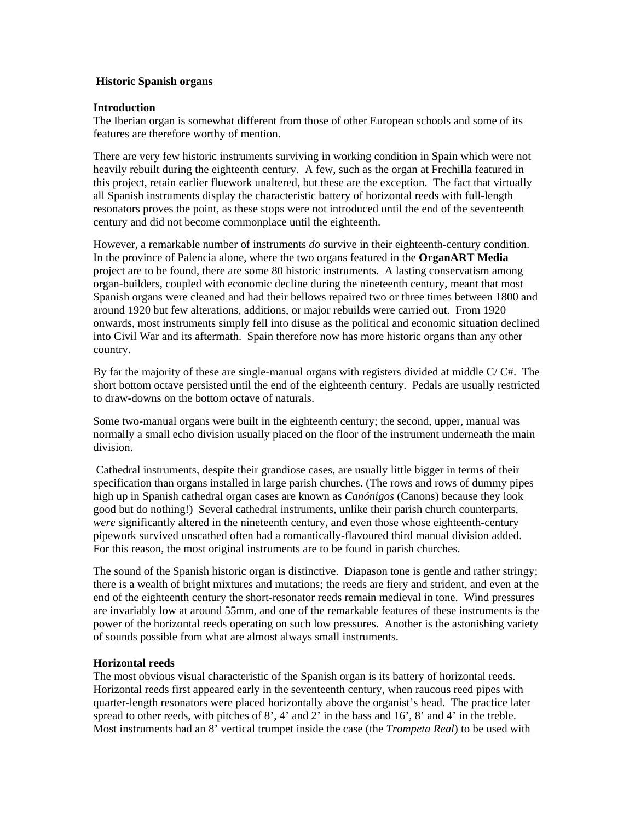### **Historic Spanish organs**

## **Introduction**

The Iberian organ is somewhat different from those of other European schools and some of its features are therefore worthy of mention.

There are very few historic instruments surviving in working condition in Spain which were not heavily rebuilt during the eighteenth century. A few, such as the organ at Frechilla featured in this project, retain earlier fluework unaltered, but these are the exception. The fact that virtually all Spanish instruments display the characteristic battery of horizontal reeds with full-length resonators proves the point, as these stops were not introduced until the end of the seventeenth century and did not become commonplace until the eighteenth.

However, a remarkable number of instruments *do* survive in their eighteenth-century condition. In the province of Palencia alone, where the two organs featured in the **OrganART Media** project are to be found, there are some 80 historic instruments. A lasting conservatism among organ-builders, coupled with economic decline during the nineteenth century, meant that most Spanish organs were cleaned and had their bellows repaired two or three times between 1800 and around 1920 but few alterations, additions, or major rebuilds were carried out. From 1920 onwards, most instruments simply fell into disuse as the political and economic situation declined into Civil War and its aftermath. Spain therefore now has more historic organs than any other country.

By far the majority of these are single-manual organs with registers divided at middle C/ C#. The short bottom octave persisted until the end of the eighteenth century. Pedals are usually restricted to draw-downs on the bottom octave of naturals.

Some two-manual organs were built in the eighteenth century; the second, upper, manual was normally a small echo division usually placed on the floor of the instrument underneath the main division.

 Cathedral instruments, despite their grandiose cases, are usually little bigger in terms of their specification than organs installed in large parish churches. (The rows and rows of dummy pipes high up in Spanish cathedral organ cases are known as *Canónigos* (Canons) because they look good but do nothing!) Several cathedral instruments, unlike their parish church counterparts, *were* significantly altered in the nineteenth century, and even those whose eighteenth-century pipework survived unscathed often had a romantically-flavoured third manual division added. For this reason, the most original instruments are to be found in parish churches.

The sound of the Spanish historic organ is distinctive. Diapason tone is gentle and rather stringy; there is a wealth of bright mixtures and mutations; the reeds are fiery and strident, and even at the end of the eighteenth century the short-resonator reeds remain medieval in tone. Wind pressures are invariably low at around 55mm, and one of the remarkable features of these instruments is the power of the horizontal reeds operating on such low pressures. Another is the astonishing variety of sounds possible from what are almost always small instruments.

# **Horizontal reeds**

The most obvious visual characteristic of the Spanish organ is its battery of horizontal reeds. Horizontal reeds first appeared early in the seventeenth century, when raucous reed pipes with quarter-length resonators were placed horizontally above the organist's head. The practice later spread to other reeds, with pitches of 8', 4' and 2' in the bass and 16', 8' and 4' in the treble. Most instruments had an 8' vertical trumpet inside the case (the *Trompeta Real*) to be used with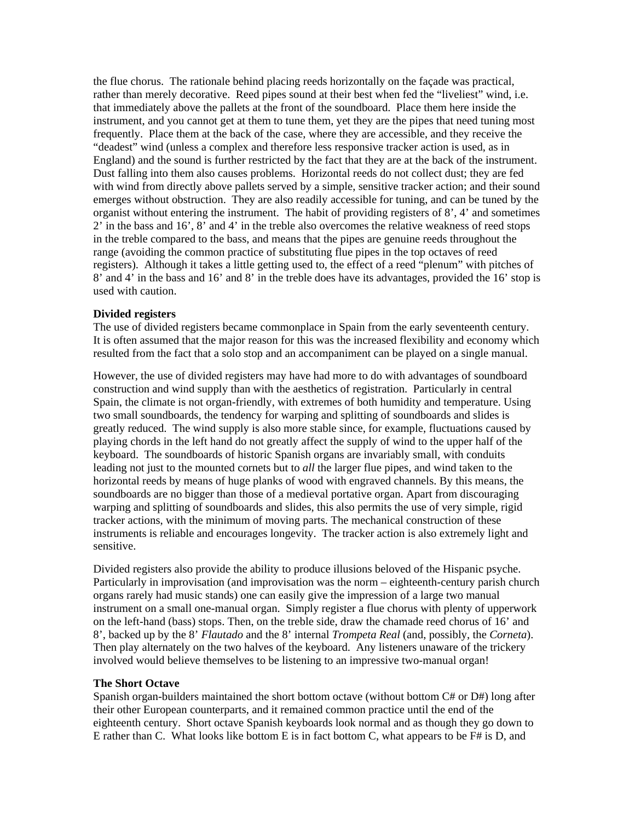the flue chorus. The rationale behind placing reeds horizontally on the façade was practical, rather than merely decorative. Reed pipes sound at their best when fed the "liveliest" wind, i.e. that immediately above the pallets at the front of the soundboard. Place them here inside the instrument, and you cannot get at them to tune them, yet they are the pipes that need tuning most frequently. Place them at the back of the case, where they are accessible, and they receive the "deadest" wind (unless a complex and therefore less responsive tracker action is used, as in England) and the sound is further restricted by the fact that they are at the back of the instrument. Dust falling into them also causes problems. Horizontal reeds do not collect dust; they are fed with wind from directly above pallets served by a simple, sensitive tracker action; and their sound emerges without obstruction. They are also readily accessible for tuning, and can be tuned by the organist without entering the instrument. The habit of providing registers of  $8^\prime$ ,  $4^\prime$  and sometimes 2' in the bass and 16', 8' and 4' in the treble also overcomes the relative weakness of reed stops in the treble compared to the bass, and means that the pipes are genuine reeds throughout the range (avoiding the common practice of substituting flue pipes in the top octaves of reed registers). Although it takes a little getting used to, the effect of a reed "plenum" with pitches of 8' and 4' in the bass and 16' and 8' in the treble does have its advantages, provided the 16' stop is used with caution.

#### **Divided registers**

The use of divided registers became commonplace in Spain from the early seventeenth century. It is often assumed that the major reason for this was the increased flexibility and economy which resulted from the fact that a solo stop and an accompaniment can be played on a single manual.

However, the use of divided registers may have had more to do with advantages of soundboard construction and wind supply than with the aesthetics of registration. Particularly in central Spain, the climate is not organ-friendly, with extremes of both humidity and temperature. Using two small soundboards, the tendency for warping and splitting of soundboards and slides is greatly reduced. The wind supply is also more stable since, for example, fluctuations caused by playing chords in the left hand do not greatly affect the supply of wind to the upper half of the keyboard. The soundboards of historic Spanish organs are invariably small, with conduits leading not just to the mounted cornets but to *all* the larger flue pipes, and wind taken to the horizontal reeds by means of huge planks of wood with engraved channels. By this means, the soundboards are no bigger than those of a medieval portative organ. Apart from discouraging warping and splitting of soundboards and slides, this also permits the use of very simple, rigid tracker actions, with the minimum of moving parts. The mechanical construction of these instruments is reliable and encourages longevity. The tracker action is also extremely light and sensitive.

Divided registers also provide the ability to produce illusions beloved of the Hispanic psyche. Particularly in improvisation (and improvisation was the norm – eighteenth-century parish church organs rarely had music stands) one can easily give the impression of a large two manual instrument on a small one-manual organ. Simply register a flue chorus with plenty of upperwork on the left-hand (bass) stops. Then, on the treble side, draw the chamade reed chorus of 16' and 8', backed up by the 8' *Flautado* and the 8' internal *Trompeta Real* (and, possibly, the *Corneta*). Then play alternately on the two halves of the keyboard. Any listeners unaware of the trickery involved would believe themselves to be listening to an impressive two-manual organ!

# **The Short Octave**

Spanish organ-builders maintained the short bottom octave (without bottom C# or D#) long after their other European counterparts, and it remained common practice until the end of the eighteenth century. Short octave Spanish keyboards look normal and as though they go down to E rather than C. What looks like bottom E is in fact bottom C, what appears to be F# is D, and